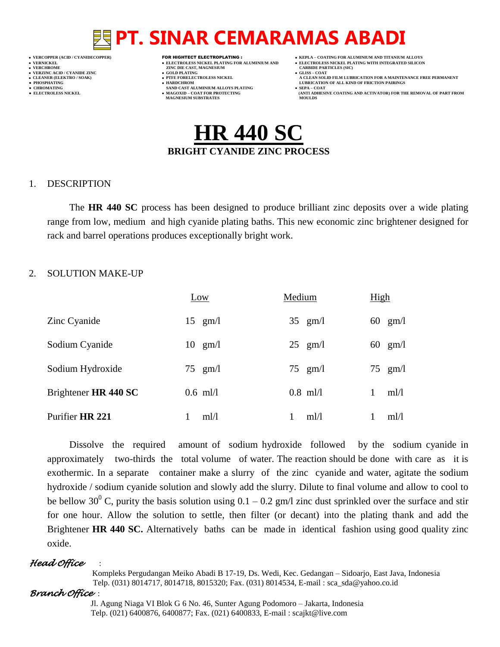- 
- 
- 
- 

- **VERFORM ZINC DIE CAST, MAGNESIUM CARBIDE PARTICLES (SIC)**<br> **CARBIDE PARTING**
- **VERZINC ACID / CYANIDE ZINC GOLD PLATING GLISS – COAT**
	-
- **● CHROMATING SAND CAST ALUMINIUM ALLOYS PLATING SEPA – COAT MAGNESIUM SUBSTRATES**
- **VERCOPPER (ACID / CYANIDECOPPER)** FOR HIGHTECT ELECTROPLATING :  **KEPLA – COATING FOR ALUMINIUM AND TITANIUM ALLOYS**
- **VERNICKEL ELECTROLESS NICKEL PLATING FOR ALUMINIUM AND ELECTROLESS NICKEL PLATING WITH INTEGRATED SILICON**
	-
- **CLEANER (ELEKTRO / SOAK) PTFE FORELECTROLESS NICKEL A CLEAN SOLID FILM LUBRICATION FOR A MAINTENANCE FREE PERMANENT ● PHOSPHATING HARDCHROM LUBRICATION OF ALL KIND OF FRICTION PAIRINGS** 
	- **ELECTROLESS AND ACTIVATOR) FOR THE REMOVAL OF PART FROM (ANTI ADHESIVE COATING AND ACTIVATOR) FOR THE REMOVAL OF PART FROM <b>MOULDS**



### 1. DESCRIPTION

The **HR 440 SC** process has been designed to produce brilliant zinc deposits over a wide plating range from low, medium and high cyanide plating baths. This new economic zinc brightener designed for rack and barrel operations produces exceptionally bright work.

### 2. SOLUTION MAKE-UP

|                      | Low               | Medium |                   | High |                   |
|----------------------|-------------------|--------|-------------------|------|-------------------|
| Zinc Cyanide         | $15$ gm/l         |        | $35 \text{ gm/l}$ |      | $60 \text{ gm/l}$ |
| Sodium Cyanide       | $10 \text{ gm/l}$ |        | $25$ gm/l         |      | $60 \text{ gm/l}$ |
| Sodium Hydroxide     | $75$ gm/l         |        | $75$ gm/l         |      | $75$ gm/l         |
| Brightener HR 440 SC | $0.6$ ml/l        |        | $0.8$ ml/l        |      | ml/l              |
| Purifier HR 221      | ml/l              |        | m1/1              |      | ml/l              |

Dissolve the required amount of sodium hydroxide followed by the sodium cyanide in approximately two-thirds the total volume of water. The reaction should be done with care as it is exothermic. In a separate container make a slurry of the zinc cyanide and water, agitate the sodium hydroxide / sodium cyanide solution and slowly add the slurry. Dilute to final volume and allow to cool to be bellow 30<sup>0</sup> C, purity the basis solution using  $0.1 - 0.2$  gm/l zinc dust sprinkled over the surface and stir for one hour. Allow the solution to settle, then filter (or decant) into the plating thank and add the Brightener **HR 440 SC.** Alternatively baths can be made in identical fashion using good quality zinc oxide.

## *Head Office* :

 Kompleks Pergudangan Meiko Abadi B 17-19, Ds. Wedi, Kec. Gedangan – Sidoarjo, East Java, Indonesia Telp. (031) 8014717, 8014718, 8015320; Fax. (031) 8014534, E-mail : sca\_sda@yahoo.co.id

### *Branch Office* :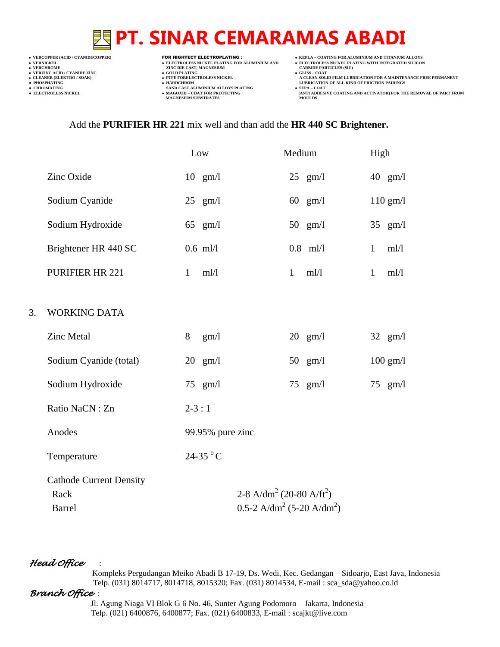- 
- 

**VERCHROME (ACID/CTANIDE ZINC )<br>
• VERCHROME 2INC DIE CAST, MAGNESIUM (CARBIDE PARTICLES (SICKEL PLATING FOR ALUMINIUM AND )<br>
• VERCHROME 2INC DIE CAST, MAGNESIUM (CARBIDE PARTICLES )<br>
• CLEANER (ELEKTRO / SOAK) (CLEANER (** 

- **v GOLD PLATING**<br>**• PTFE FORELECTROLESS NICKEL**
- 
- **● CHROMATING SAND CAST ALUMINIUM ALLOYS PLATING SEPA – COAT**
- **VERCOPPER (ACID / CYANIDECOPPER)** FOR HIGHTECT ELECTROPLATING :  **KEPLA – COATING FOR ALUMINIUM AND TITANIUM ALLOYS**
- **VERNICKELL PLATING FOR ALUMINIUM AND**<br>
 ELECTROLESS NICKELL PLATING FOR ALUMINIUM AND<br>
 VERNICKEL PLATING WITH INTEGRATED SILICON<br>
 VERCHROME
	-
- **A CLEAN SOLID FILM LUBRICATION FOR A MAINTENANCE FREE PERMANENT ● PHOSPHATING HARDCHROM LUBRICATION OF ALL KIND OF FRICTION PAIRINGS**
- **● ELECTROLESS NICKEL MAGOXID – COAT FOR PROTECTING (ANTI ADHESIVE COATING AND ACTIVATOR) FOR THE REMOVAL OF PART FROM MAGNESIUM SUBSTRATES MOULDS**

### Add the **PURIFIER HR 221** mix well and than add the **HR 440 SC Brightener.**

|    |                                |              | Low               | Medium       |                   | High         |                   |
|----|--------------------------------|--------------|-------------------|--------------|-------------------|--------------|-------------------|
|    | Zinc Oxide                     |              | $10 \text{ gm/l}$ |              | $25$ gm/l         |              | $40 \text{ gm/l}$ |
|    | Sodium Cyanide                 |              | $25$ gm/l         |              | $60 \text{ gm/l}$ |              | $110$ gm/l        |
|    | Sodium Hydroxide               |              | 65 $gm/l$         |              | 50 $gm/l$         |              | 35 $gm/l$         |
|    | Brightener HR 440 SC           |              | $0.6$ ml/l        |              | $0.8$ ml/l        | $\mathbf{1}$ | ml/l              |
|    | <b>PURIFIER HR 221</b>         | $\mathbf{1}$ | ml/l              | $\mathbf{1}$ | ml/l              | $\mathbf{1}$ | ml/l              |
|    |                                |              |                   |              |                   |              |                   |
| 3. | <b>WORKING DATA</b>            |              |                   |              |                   |              |                   |
|    | <b>Zinc Metal</b>              | 8            | gm/1              |              | $20$ gm/l         |              | 32 $gm/l$         |
|    | Sodium Cyanide (total)         |              | $20 \text{ gm/l}$ |              | 50 $gm/l$         |              | $100$ gm/l        |
|    | Sodium Hydroxide               |              | $75$ gm/l         |              | $75$ gm/l         |              | $75$ gm/l         |
|    | Ratio NaCN: Zn                 | $2 - 3 : 1$  |                   |              |                   |              |                   |
|    | Anodes                         |              | 99.95% pure zinc  |              |                   |              |                   |
|    | Temperature                    |              | 24-35 °C          |              |                   |              |                   |
|    | <b>Cathode Current Density</b> |              |                   |              |                   |              |                   |

Rack 2-8 A/dm<sup>2</sup> (20-80 A/ft<sup>2</sup>) Barrel  $0.5-2$  A/dm<sup>2</sup> (5-20 A/dm<sup>2</sup>)

## *Head Office* :

 Kompleks Pergudangan Meiko Abadi B 17-19, Ds. Wedi, Kec. Gedangan – Sidoarjo, East Java, Indonesia Telp. (031) 8014717, 8014718, 8015320; Fax. (031) 8014534, E-mail : sca\_sda@yahoo.co.id

## *Branch Office* :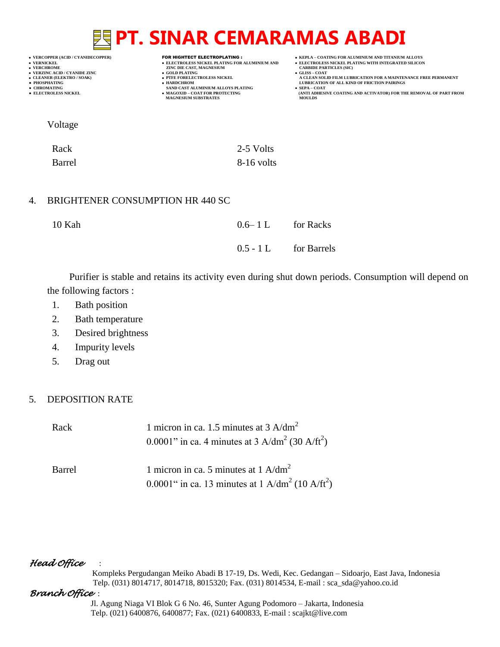**VERCOPPER (ACID / CYANIDECOPPER)** FOR HIGHTECT ELECTROPLATING :  **KEPLA – COATING FOR ALUMINIUM AND TITANIUM ALLOYS**

- 
- 
- 
- 
- 

- **VERCHROME (ACID/CTANIDE ZINC )<br>
 VERCHROME 2INC DIE CAST, MAGNESIUM (CARBIDE PARTICLES (SICKEL PLATING FOR ALUMINIUM AND )<br>
 VERCHROME 2INC DIE CAST, MAGNESIUM (CARBIDE PARTICLES )<br>
 CLEANER (ELEKTRO / SOAK) (CLEANER (** 
	- **v GOLD PLATING**<br>**• PTFE FORELECTROLESS NICKEL**
	-
- **● CHROMATING SAND CAST ALUMINIUM ALLOYS PLATING SEPA – COAT MAGNESIUM SUBSTRATES MOULDS**
- 
- **VERNICKEL ELECTROLESS NICKEL PLATING FOR ALUMINIUM AND**<br>• VERNICKEL PLATING WITH INTEGRATED SILICON<br>• VERCHROME **DELECTROLESS NICKEL PLATING WITH INTEGRATED SILICON**<br>• VERCHROME **CARBIDE PARTICLES** (SIC)
	-
- **A CLEAN SOLID FILM LUBRICATION FOR A MAINTENANCE FREE PERMANENT ● PHOSPHATING HARDCHROM LUBRICATION OF ALL KIND OF FRICTION PAIRINGS**
- **● ELECTROLESS NICKEL MAGOXID – COAT FOR PROTECTING (ANTI ADHESIVE COATING AND ACTIVATOR) FOR THE REMOVAL OF PART FROM**

Voltage

| Rack   | 2-5 Volts    |
|--------|--------------|
| Barrel | $8-16$ volts |

## 4. BRIGHTENER CONSUMPTION HR 440 SC

| 10 Kah | $0.6-1 L$ for Racks     |
|--------|-------------------------|
|        | $0.5 - 1 L$ for Barrels |

Purifier is stable and retains its activity even during shut down periods. Consumption will depend on the following factors :

- 1. Bath position
- 2. Bath temperature
- 3. Desired brightness
- 4. Impurity levels
- 5. Drag out

## 5. DEPOSITION RATE

| Rack   | 1 micron in ca. 1.5 minutes at 3 A/dm <sup>2</sup><br>0.0001" in ca. 4 minutes at 3 A/dm <sup>2</sup> (30 A/ft <sup>2</sup> ) |
|--------|-------------------------------------------------------------------------------------------------------------------------------|
| Barrel | 1 micron in ca. 5 minutes at 1 A/dm <sup>2</sup><br>0.0001" in ca. 13 minutes at 1 A/dm <sup>2</sup> (10 A/ft <sup>2</sup> )  |

## *Head Office* :

 Kompleks Pergudangan Meiko Abadi B 17-19, Ds. Wedi, Kec. Gedangan – Sidoarjo, East Java, Indonesia Telp. (031) 8014717, 8014718, 8015320; Fax. (031) 8014534, E-mail : sca\_sda@yahoo.co.id

## *Branch Office* :